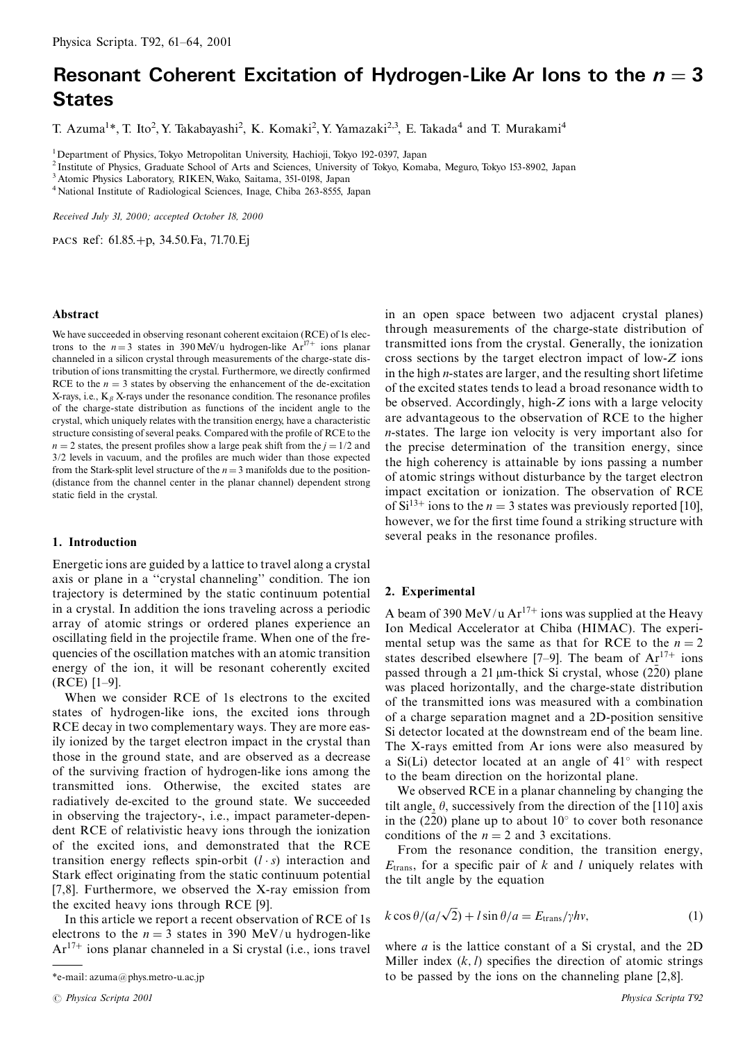# Resonant Coherent Excitation of Hydrogen-Like Ar Ions to the  $n=3$ **States**

T. Azuma<sup>1\*</sup>, T. Ito<sup>2</sup>, Y. Takabayashi<sup>2</sup>, K. Komaki<sup>2</sup>, Y. Yamazaki<sup>2,3</sup>, E. Takada<sup>4</sup> and T. Murakami<sup>4</sup>

<sup>1</sup>Department of Physics, Tokyo Metropolitan University, Hachioji, Tokyo 192-0397, Japan

<sup>2</sup> Institute of Physics, Graduate School of Arts and Sciences, University of Tokyo, Komaba, Meguro, Tokyo 153-8902, Japan

<sup>3</sup> Atomic Physics Laboratory, RIKEN, Wako, Saitama, 351-0198, Japan

<sup>4</sup> National Institute of Radiological Sciences, Inage, Chiba 263-8555, Japan

Received July 31, 2000; accepted October 18, 2000

PACS Ref: 61.85.+p, 34.50.Fa, 71.70.Ej

### Abstract

We have succeeded in observing resonant coherent excitaion (RCE) of 1s electrons to the  $n=3$  states in 390 MeV/u hydrogen-like  $Ar^{17+}$  ions planar channeled in a silicon crystal through measurements of the charge-state distribution of ions transmitting the crystal. Furthermore, we directly confirmed RCE to the  $n = 3$  states by observing the enhancement of the de-excitation X-rays, i.e.,  $K_{\beta}$  X-rays under the resonance condition. The resonance profiles of the charge-state distribution as functions of the incident angle to the crystal, which uniquely relates with the transition energy, have a characteristic structure consisting of several peaks. Compared with the profile of RCE to the  $n = 2$  states, the present profiles show a large peak shift from the  $j = 1/2$  and  $3/2$  levels in vacuum, and the profiles are much wider than those expected from the Stark-split level structure of the  $n=3$  manifolds due to the position-(distance from the channel center in the planar channel) dependent strong static field in the crystal.

## 1. Introduction

Energetic ions are guided by a lattice to travel along a crystal axis or plane in a "crystal channeling" condition. The ion trajectory is determined by the static continuum potential in a crystal. In addition the ions traveling across a periodic array of atomic strings or ordered planes experience an oscillating field in the projectile frame. When one of the frequencies of the oscillation matches with an atomic transition energy of the ion, it will be resonant coherently excited  $(RCE)$  [1-9].

When we consider RCE of 1s electrons to the excited states of hydrogen-like ions, the excited ions through RCE decay in two complementary ways. They are more easily ionized by the target electron impact in the crystal than those in the ground state, and are observed as a decrease of the surviving fraction of hydrogen-like ions among the transmitted ions. Otherwise, the excited states are radiatively de-excited to the ground state. We succeeded in observing the trajectory-, i.e., impact parameter-dependent RCE of relativistic heavy ions through the ionization of the excited ions, and demonstrated that the RCE transition energy reflects spin-orbit  $(l \cdot s)$  interaction and Stark effect originating from the static continuum potential [7,8]. Furthermore, we observed the X-ray emission from the excited heavy ions through RCE [9].

In this article we report a recent observation of RCE of 1s electrons to the  $n = 3$  states in 390 MeV/u hydrogen-like  $Ar^{17+}$  ions planar channeled in a Si crystal (i.e., ions travel in an open space between two adjacent crystal planes) through measurements of the charge-state distribution of transmitted ions from the crystal. Generally, the ionization cross sections by the target electron impact of low-Z ions in the high *n*-states are larger, and the resulting short lifetime of the excited states tends to lead a broad resonance width to be observed. Accordingly, high-Z ions with a large velocity are advantageous to the observation of RCE to the higher *n*-states. The large ion velocity is very important also for the precise determination of the transition energy, since the high coherency is attainable by ions passing a number of atomic strings without disturbance by the target electron impact excitation or ionization. The observation of RCE of Si<sup>13+</sup> ions to the  $n = 3$  states was previously reported [10], however, we for the first time found a striking structure with several peaks in the resonance profiles.

# 2. Experimental

A beam of 390 MeV/u  $Ar^{17+}$  ions was supplied at the Heavy Ion Medical Accelerator at Chiba (HIMAC). The experimental setup was the same as that for RCE to the  $n = 2$ states described elsewhere [7–9]. The beam of  $Ar^{17+}$  ions passed through a 21  $\mu$ m-thick Si crystal, whose (220) plane was placed horizontally, and the charge-state distribution of the transmitted ions was measured with a combination of a charge separation magnet and a 2D-position sensitive Si detector located at the downstream end of the beam line. The X-rays emitted from Ar ions were also measured by a Si(Li) detector located at an angle of  $41^\circ$  with respect to the beam direction on the horizontal plane.

We observed RCE in a planar channeling by changing the tilt angle,  $\theta$ , successively from the direction of the [110] axis in the  $(2\bar{2}0)$  plane up to about 10° to cover both resonance conditions of the  $n = 2$  and 3 excitations.

From the resonance condition, the transition energy,  $E<sub>trans</sub>$ , for a specific pair of k and l uniquely relates with the tilt angle by the equation

$$
k\cos\theta/(a/\sqrt{2}) + l\sin\theta/a = E_{\text{trans}}/\gamma hv,\tag{1}
$$

where  $a$  is the lattice constant of a Si crystal, and the 2D Miller index  $(k, l)$  specifies the direction of atomic strings to be passed by the ions on the channeling plane  $[2,8]$ .

<sup>\*</sup>e-mail: azuma@phys.metro-u.ac.jp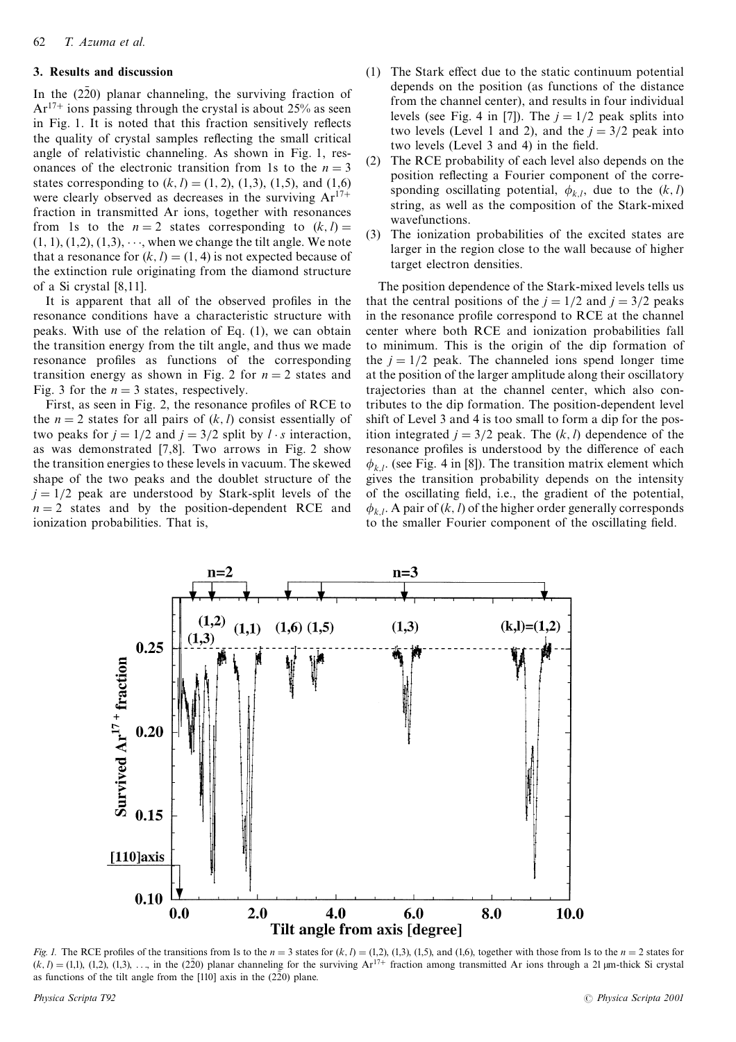# 3. Results and discussion

In the  $(2\overline{2}0)$  planar channeling, the surviving fraction of  $Ar^{17+}$  ions passing through the crystal is about 25% as seen in Fig. 1. It is noted that this fraction sensitively reflects the quality of crystal samples reflecting the small critical angle of relativistic channeling. As shown in Fig. 1, resonances of the electronic transition from 1s to the  $n = 3$ states corresponding to  $(k, l) = (1, 2), (1, 3), (1, 5),$  and  $(1, 6)$ were clearly observed as decreases in the surviving  $Ar^{17+}$ fraction in transmitted Ar ions, together with resonances from 1s to the  $n = 2$  states corresponding to  $(k, l) =$  $(1, 1), (1, 2), (1, 3), \cdots$ , when we change the tilt angle. We note that a resonance for  $(k, l) = (1, 4)$  is not expected because of the extinction rule originating from the diamond structure of a Si crystal  $[8,11]$ .

It is apparent that all of the observed profiles in the resonance conditions have a characteristic structure with peaks. With use of the relation of Eq. (1), we can obtain the transition energy from the tilt angle, and thus we made resonance profiles as functions of the corresponding transition energy as shown in Fig. 2 for  $n = 2$  states and Fig. 3 for the  $n = 3$  states, respectively.

First, as seen in Fig. 2, the resonance profiles of RCE to the  $n = 2$  states for all pairs of  $(k, l)$  consist essentially of two peaks for  $j = 1/2$  and  $j = 3/2$  split by  $l \cdot s$  interaction, as was demonstrated [7,8]. Two arrows in Fig. 2 show the transition energies to these levels in vacuum. The skewed shape of the two peaks and the doublet structure of the  $i = 1/2$  peak are understood by Stark-split levels of the  $n = 2$  states and by the position-dependent RCE and ionization probabilities. That is,

- (1) The Stark effect due to the static continuum potential depends on the position (as functions of the distance from the channel center), and results in four individual levels (see Fig. 4 in [7]). The  $j = 1/2$  peak splits into two levels (Level 1 and 2), and the  $i = 3/2$  peak into two levels (Level 3 and 4) in the field.
- The RCE probability of each level also depends on the  $(2)$ position reflecting a Fourier component of the corresponding oscillating potential,  $\phi_{k,l}$ , due to the  $(k, l)$ string, as well as the composition of the Stark-mixed wavefunctions.
- The ionization probabilities of the excited states are  $(3)$ larger in the region close to the wall because of higher target electron densities.

The position dependence of the Stark-mixed levels tells us that the central positions of the  $j = 1/2$  and  $j = 3/2$  peaks in the resonance profile correspond to RCE at the channel center where both RCE and ionization probabilities fall to minimum. This is the origin of the dip formation of the  $i = 1/2$  peak. The channeled ions spend longer time at the position of the larger amplitude along their oscillatory trajectories than at the channel center, which also contributes to the dip formation. The position-dependent level shift of Level 3 and 4 is too small to form a dip for the position integrated  $j = 3/2$  peak. The  $(k, l)$  dependence of the resonance profiles is understood by the difference of each  $\phi_{k,l}$ . (see Fig. 4 in [8]). The transition matrix element which gives the transition probability depends on the intensity of the oscillating field, i.e., the gradient of the potential,  $\phi_{k,l}$ . A pair of  $(k, l)$  of the higher order generally corresponds to the smaller Fourier component of the oscillating field.



Fig. 1. The RCE profiles of the transitions from 1s to the  $n = 3$  states for  $(k, l) = (1, 2)$ ,  $(1, 3)$ ,  $(1, 5)$ , and  $(1, 6)$ , together with those from 1s to the  $n = 2$  states for  $(k, l) = (1, 1)$ ,  $(1, 2)$ ,  $(1, 3)$ ,  $\dots$ , i as functions of the tilt angle from the  $[110]$  axis in the  $(220)$  plane.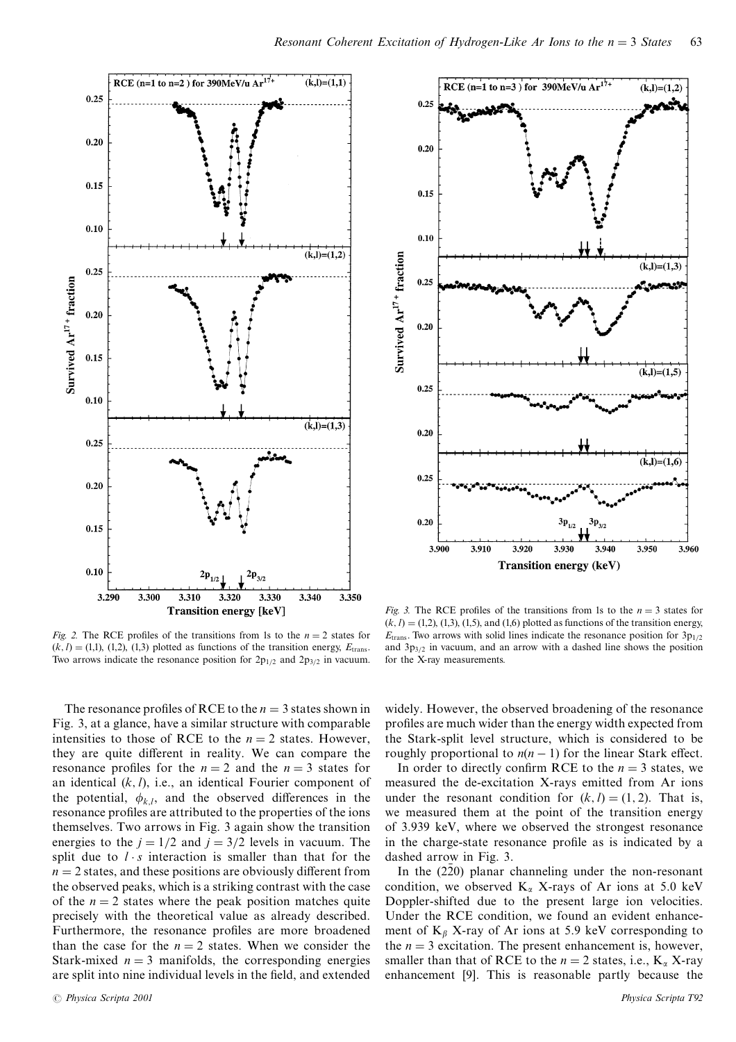

Fig. 2. The RCE profiles of the transitions from 1s to the  $n = 2$  states for  $(k, l) = (1, 1), (1, 2), (1, 3)$  plotted as functions of the transition energy,  $E_{trans}$ Two arrows indicate the resonance position for  $2p_{1/2}$  and  $2p_{3/2}$  in vacuum.

The resonance profiles of RCE to the  $n = 3$  states shown in Fig. 3, at a glance, have a similar structure with comparable intensities to those of RCE to the  $n = 2$  states. However, they are quite different in reality. We can compare the resonance profiles for the  $n = 2$  and the  $n = 3$  states for an identical  $(k, l)$ , i.e., an identical Fourier component of the potential,  $\phi_{k,l}$ , and the observed differences in the resonance profiles are attributed to the properties of the ions themselves. Two arrows in Fig. 3 again show the transition energies to the  $j = 1/2$  and  $j = 3/2$  levels in vacuum. The split due to  $l \cdot s$  interaction is smaller than that for the  $n = 2$  states, and these positions are obviously different from the observed peaks, which is a striking contrast with the case of the  $n = 2$  states where the peak position matches quite precisely with the theoretical value as already described. Furthermore, the resonance profiles are more broadened than the case for the  $n = 2$  states. When we consider the Stark-mixed  $n = 3$  manifolds, the corresponding energies are split into nine individual levels in the field, and extended



Fig. 3. The RCE profiles of the transitions from 1s to the  $n = 3$  states for  $(k, l) = (1, 2), (1, 3), (1, 5),$  and  $(1, 6)$  plotted as functions of the transition energy,  $E_{trans}$ . Two arrows with solid lines indicate the resonance position for  $3p_{1/2}$ and  $3p_{3/2}$  in vacuum, and an arrow with a dashed line shows the position for the X-ray measurements.

widely. However, the observed broadening of the resonance profiles are much wider than the energy width expected from the Stark-split level structure, which is considered to be roughly proportional to  $n(n-1)$  for the linear Stark effect.

In order to directly confirm RCE to the  $n = 3$  states, we measured the de-excitation X-rays emitted from Ar ions under the resonant condition for  $(k, l) = (1, 2)$ . That is, we measured them at the point of the transition energy of 3.939 keV, where we observed the strongest resonance in the charge-state resonance profile as is indicated by a dashed arrow in Fig. 3.

In the  $(2\bar{2}0)$  planar channeling under the non-resonant condition, we observed  $K_{\alpha}$  X-rays of Ar ions at 5.0 keV Doppler-shifted due to the present large ion velocities. Under the RCE condition, we found an evident enhancement of  $K_\beta$  X-ray of Ar ions at 5.9 keV corresponding to the  $n = 3$  excitation. The present enhancement is, however, smaller than that of RCE to the  $n = 2$  states, i.e.,  $K_{\alpha}$  X-ray enhancement [9]. This is reasonable partly because the